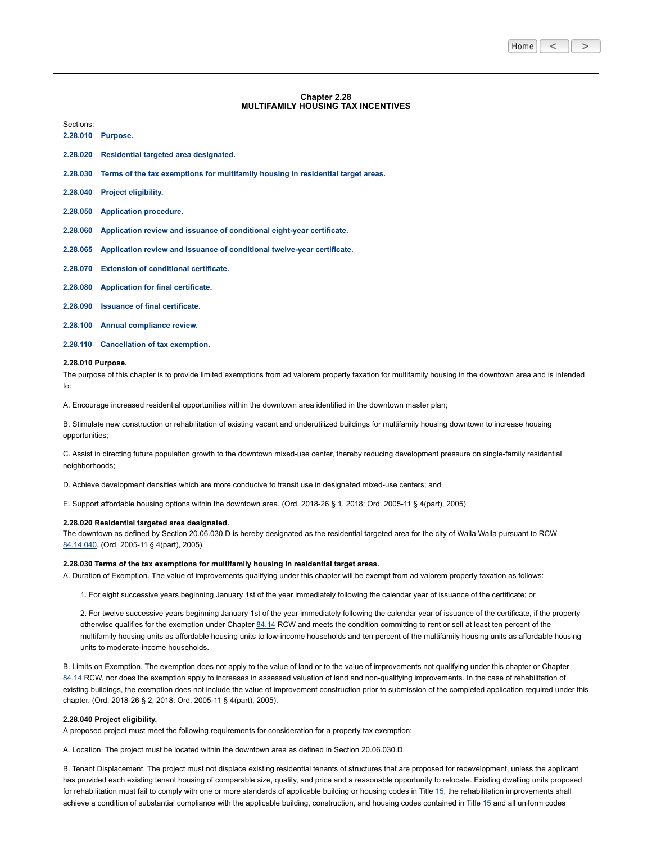| Home |  |  |  |
|------|--|--|--|
|------|--|--|--|

# **Chapter 2.28 MULTIFAMILY HOUSING TAX INCENTIVES**

| 2.28.010 | Purpose.                                                                                  |
|----------|-------------------------------------------------------------------------------------------|
| 2.28.020 | Residential targeted area designated.                                                     |
|          | 2.28.030 Terms of the tax exemptions for multifamily housing in residential target areas. |
|          | 2.28.040 Project eligibility.                                                             |
|          | 2.28.050 Application procedure.                                                           |
|          | 2.28.060 Application review and issuance of conditional eight-year certificate.           |
|          | 2.28.065 Application review and issuance of conditional twelve-year certificate.          |
|          | 2.28.070 Extension of conditional certificate.                                            |
|          | 2.28.080 Application for final certificate.                                               |
|          | 2.28.090 Issuance of final certificate.                                                   |

**2.28.100 Annual [compliance](#page-2-3) review.**

**2.28.110 [Cancellation](#page-3-0) of tax exemption.**

#### <span id="page-0-0"></span>**2.28.010 Purpose.**

Sections:

The purpose of this chapter is to provide limited exemptions from ad valorem property taxation for multifamily housing in the downtown area and is intended to:

A. Encourage increased residential opportunities within the downtown area identified in the downtown master plan;

B. Stimulate new construction or rehabilitation of existing vacant and underutilized buildings for multifamily housing downtown to increase housing opportunities;

C. Assist in directing future population growth to the downtown mixed-use center, thereby reducing development pressure on single-family residential neighborhoods;

D. Achieve development densities which are more conducive to transit use in designated mixed-use centers; and

E. Support affordable housing options within the downtown area. (Ord. 2018-26 § 1, 2018: Ord. 2005-11 § 4(part), 2005).

## <span id="page-0-1"></span>**2.28.020 Residential targeted area designated.**

The downtown as defined by Section 20.06.030.D is hereby designated as the residential targeted area for the city of Walla Walla pursuant to RCW [84.14.040](https://www.codepublishing.com/cgi-bin/rcw.pl?cite=84.14.040). (Ord. 2005-11 § 4(part), 2005).

## <span id="page-0-2"></span>**2.28.030 Terms of the tax exemptions for multifamily housing in residential target areas.**

A. Duration of Exemption. The value of improvements qualifying under this chapter will be exempt from ad valorem property taxation as follows:

1. For eight successive years beginning January 1st of the year immediately following the calendar year of issuance of the certificate; or

2. For twelve successive years beginning January 1st of the year immediately following the calendar year of issuance of the certificate, if the property otherwise qualifies for the exemption under Chapter [84.14](https://www.codepublishing.com/cgi-bin/rcw.pl?cite=84.14) RCW and meets the condition committing to rent or sell at least ten percent of the multifamily housing units as affordable housing units to low-income households and ten percent of the multifamily housing units as affordable housing units to moderate-income households.

B. Limits on Exemption. The exemption does not apply to the value of land or to the value of improvements not qualifying under this chapter or Chapter [84.14](https://www.codepublishing.com/cgi-bin/rcw.pl?cite=84.14) RCW, nor does the exemption apply to increases in assessed valuation of land and non-qualifying improvements. In the case of rehabilitation of existing buildings, the exemption does not include the value of improvement construction prior to submission of the completed application required under this chapter. (Ord. 2018-26 § 2, 2018: Ord. 2005-11 § 4(part), 2005).

### <span id="page-0-3"></span>**2.28.040 Project eligibility.**

A proposed project must meet the following requirements for consideration for a property tax exemption:

A. Location. The project must be located within the downtown area as defined in Section 20.06.030.D.

B. Tenant Displacement. The project must not displace existing residential tenants of structures that are proposed for redevelopment, unless the applicant has provided each existing tenant housing of comparable size, quality, and price and a reasonable opportunity to relocate. Existing dwelling units proposed for rehabilitation must fail to comply with one or more standards of applicable building or housing codes in Title [15,](https://www.codepublishing.com/WA/WallaWalla/html/WallaWalla15/WallaWalla15.html#15) the rehabilitation improvements shall achieve a condition of substantial compliance with the applicable building, construction, and housing codes contained in Title [15](https://www.codepublishing.com/WA/WallaWalla/html/WallaWalla15/WallaWalla15.html#15) and all uniform codes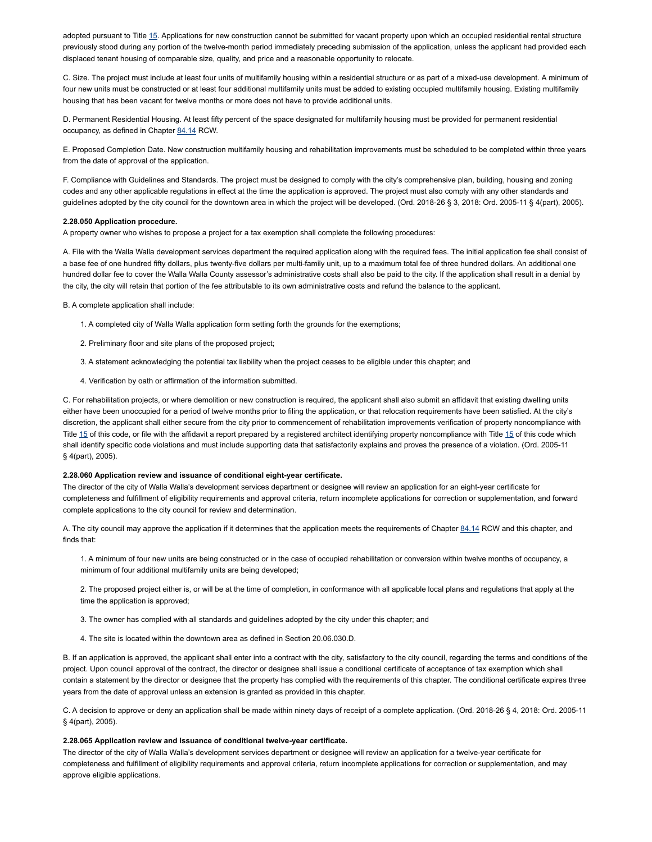adopted pursuant to Title [15.](https://www.codepublishing.com/WA/WallaWalla/html/WallaWalla15/WallaWalla15.html#15) Applications for new construction cannot be submitted for vacant property upon which an occupied residential rental structure previously stood during any portion of the twelve-month period immediately preceding submission of the application, unless the applicant had provided each displaced tenant housing of comparable size, quality, and price and a reasonable opportunity to relocate.

C. Size. The project must include at least four units of multifamily housing within a residential structure or as part of a mixed-use development. A minimum of four new units must be constructed or at least four additional multifamily units must be added to existing occupied multifamily housing. Existing multifamily housing that has been vacant for twelve months or more does not have to provide additional units.

D. Permanent Residential Housing. At least fifty percent of the space designated for multifamily housing must be provided for permanent residential occupancy, as defined in Chapter [84.14](https://www.codepublishing.com/cgi-bin/rcw.pl?cite=84.14) RCW.

E. Proposed Completion Date. New construction multifamily housing and rehabilitation improvements must be scheduled to be completed within three years from the date of approval of the application.

F. Compliance with Guidelines and Standards. The project must be designed to comply with the city's comprehensive plan, building, housing and zoning codes and any other applicable regulations in effect at the time the application is approved. The project must also comply with any other standards and guidelines adopted by the city council for the downtown area in which the project will be developed. (Ord. 2018-26 § 3, 2018: Ord. 2005-11 § 4(part), 2005).

## <span id="page-1-0"></span>**2.28.050 Application procedure.**

A property owner who wishes to propose a project for a tax exemption shall complete the following procedures:

A. File with the Walla Walla development services department the required application along with the required fees. The initial application fee shall consist of a base fee of one hundred fifty dollars, plus twenty-five dollars per multi-family unit, up to a maximum total fee of three hundred dollars. An additional one hundred dollar fee to cover the Walla Walla County assessor's administrative costs shall also be paid to the city. If the application shall result in a denial by the city, the city will retain that portion of the fee attributable to its own administrative costs and refund the balance to the applicant.

B. A complete application shall include:

- 1. A completed city of Walla Walla application form setting forth the grounds for the exemptions;
- 2. Preliminary floor and site plans of the proposed project;
- 3. A statement acknowledging the potential tax liability when the project ceases to be eligible under this chapter; and
- 4. Verification by oath or affirmation of the information submitted.

C. For rehabilitation projects, or where demolition or new construction is required, the applicant shall also submit an affidavit that existing dwelling units either have been unoccupied for a period of twelve months prior to filing the application, or that relocation requirements have been satisfied. At the city's discretion, the applicant shall either secure from the city prior to commencement of rehabilitation improvements verification of property noncompliance with Title [15](https://www.codepublishing.com/WA/WallaWalla/html/WallaWalla15/WallaWalla15.html#15) of this code, or file with the affidavit a report prepared by a registered architect identifying property noncompliance with Title 15 of this code which shall identify specific code violations and must include supporting data that satisfactorily explains and proves the presence of a violation. (Ord. 2005-11 § 4(part), 2005).

# <span id="page-1-1"></span>**2.28.060 Application review and issuance of conditional eight-year certificate.**

The director of the city of Walla Walla's development services department or designee will review an application for an eight-year certificate for completeness and fulfillment of eligibility requirements and approval criteria, return incomplete applications for correction or supplementation, and forward complete applications to the city council for review and determination.

A. The city council may approve the application if it determines that the application meets the requirements of Chapter [84.14](https://www.codepublishing.com/cgi-bin/rcw.pl?cite=84.14) RCW and this chapter, and finds that:

1. A minimum of four new units are being constructed or in the case of occupied rehabilitation or conversion within twelve months of occupancy, a minimum of four additional multifamily units are being developed;

2. The proposed project either is, or will be at the time of completion, in conformance with all applicable local plans and regulations that apply at the time the application is approved;

- 3. The owner has complied with all standards and guidelines adopted by the city under this chapter; and
- 4. The site is located within the downtown area as defined in Section 20.06.030.D.

B. If an application is approved, the applicant shall enter into a contract with the city, satisfactory to the city council, regarding the terms and conditions of the project. Upon council approval of the contract, the director or designee shall issue a conditional certificate of acceptance of tax exemption which shall contain a statement by the director or designee that the property has complied with the requirements of this chapter. The conditional certificate expires three years from the date of approval unless an extension is granted as provided in this chapter.

C. A decision to approve or deny an application shall be made within ninety days of receipt of a complete application. (Ord. 2018-26 § 4, 2018: Ord. 2005-11 § 4(part), 2005).

# <span id="page-1-2"></span>**2.28.065 Application review and issuance of conditional twelve-year certificate.**

The director of the city of Walla Walla's development services department or designee will review an application for a twelve-year certificate for completeness and fulfillment of eligibility requirements and approval criteria, return incomplete applications for correction or supplementation, and may approve eligible applications.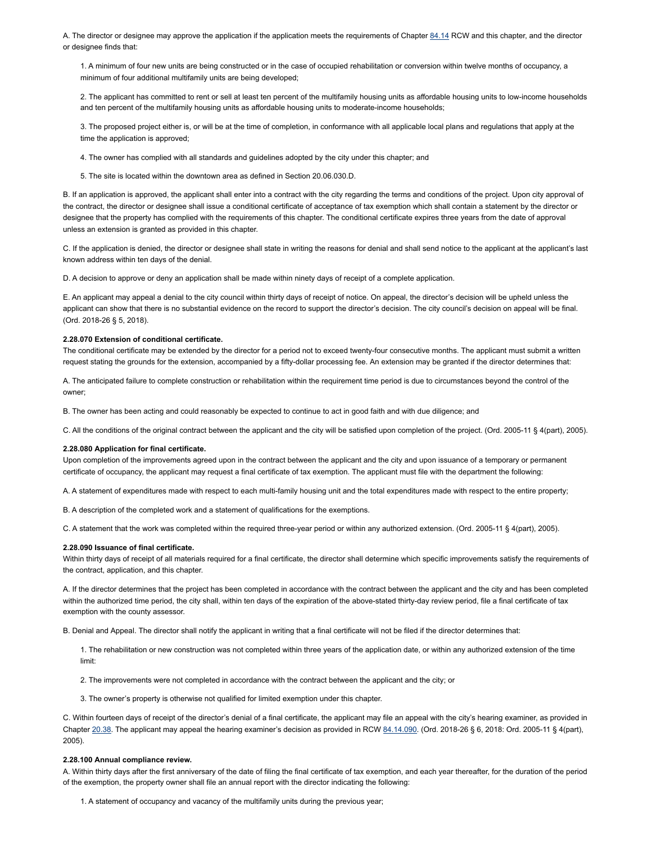A. The director or designee may approve the application if the application meets the requirements of Chapter [84.14](https://www.codepublishing.com/cgi-bin/rcw.pl?cite=84.14) RCW and this chapter, and the director or designee finds that:

1. A minimum of four new units are being constructed or in the case of occupied rehabilitation or conversion within twelve months of occupancy, a minimum of four additional multifamily units are being developed;

2. The applicant has committed to rent or sell at least ten percent of the multifamily housing units as affordable housing units to low-income households and ten percent of the multifamily housing units as affordable housing units to moderate-income households;

3. The proposed project either is, or will be at the time of completion, in conformance with all applicable local plans and regulations that apply at the time the application is approved;

4. The owner has complied with all standards and guidelines adopted by the city under this chapter; and

5. The site is located within the downtown area as defined in Section 20.06.030.D.

B. If an application is approved, the applicant shall enter into a contract with the city regarding the terms and conditions of the project. Upon city approval of the contract, the director or designee shall issue a conditional certificate of acceptance of tax exemption which shall contain a statement by the director or designee that the property has complied with the requirements of this chapter. The conditional certificate expires three years from the date of approval unless an extension is granted as provided in this chapter.

C. If the application is denied, the director or designee shall state in writing the reasons for denial and shall send notice to the applicant at the applicant's last known address within ten days of the denial.

D. A decision to approve or deny an application shall be made within ninety days of receipt of a complete application.

E. An applicant may appeal a denial to the city council within thirty days of receipt of notice. On appeal, the director's decision will be upheld unless the applicant can show that there is no substantial evidence on the record to support the director's decision. The city council's decision on appeal will be final. (Ord. 2018-26 § 5, 2018).

# <span id="page-2-0"></span>**2.28.070 Extension of conditional certificate.**

The conditional certificate may be extended by the director for a period not to exceed twenty-four consecutive months. The applicant must submit a written request stating the grounds for the extension, accompanied by a fifty-dollar processing fee. An extension may be granted if the director determines that:

A. The anticipated failure to complete construction or rehabilitation within the requirement time period is due to circumstances beyond the control of the owner;

B. The owner has been acting and could reasonably be expected to continue to act in good faith and with due diligence; and

C. All the conditions of the original contract between the applicant and the city will be satisfied upon completion of the project. (Ord. 2005-11 § 4(part), 2005).

## <span id="page-2-1"></span>**2.28.080 Application for final certificate.**

Upon completion of the improvements agreed upon in the contract between the applicant and the city and upon issuance of a temporary or permanent certificate of occupancy, the applicant may request a final certificate of tax exemption. The applicant must file with the department the following:

A. A statement of expenditures made with respect to each multi-family housing unit and the total expenditures made with respect to the entire property;

B. A description of the completed work and a statement of qualifications for the exemptions.

C. A statement that the work was completed within the required three-year period or within any authorized extension. (Ord. 2005-11 § 4(part), 2005).

# <span id="page-2-2"></span>**2.28.090 Issuance of final certificate.**

Within thirty days of receipt of all materials required for a final certificate, the director shall determine which specific improvements satisfy the requirements of the contract, application, and this chapter.

A. If the director determines that the project has been completed in accordance with the contract between the applicant and the city and has been completed within the authorized time period, the city shall, within ten days of the expiration of the above-stated thirty-day review period, file a final certificate of tax exemption with the county assessor.

B. Denial and Appeal. The director shall notify the applicant in writing that a final certificate will not be filed if the director determines that:

1. The rehabilitation or new construction was not completed within three years of the application date, or within any authorized extension of the time limit:

- 2. The improvements were not completed in accordance with the contract between the applicant and the city; or
- 3. The owner's property is otherwise not qualified for limited exemption under this chapter.

C. Within fourteen days of receipt of the director's denial of a final certificate, the applicant may file an appeal with the city's hearing examiner, as provided in Chapter [20.38.](https://www.codepublishing.com/WA/WallaWalla/html/WallaWalla20/WallaWalla2038.html#20.38) The applicant may appeal the hearing examiner's decision as provided in RCW [84.14.090](https://www.codepublishing.com/cgi-bin/rcw.pl?cite=84.14.090). (Ord. 2018-26 § 6, 2018: Ord. 2005-11 § 4(part), 2005).

### <span id="page-2-3"></span>**2.28.100 Annual compliance review.**

A. Within thirty days after the first anniversary of the date of filing the final certificate of tax exemption, and each year thereafter, for the duration of the period of the exemption, the property owner shall file an annual report with the director indicating the following:

1. A statement of occupancy and vacancy of the multifamily units during the previous year;